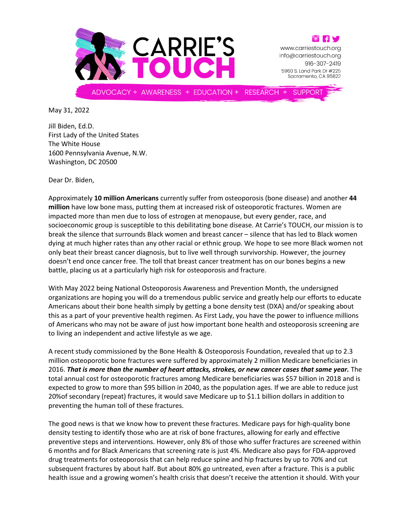



www.carriestouch.org info@carriestouch.org 916-307-2419 5960 S. Land Park Dr #225 Sacramento, CA 95822

**SUPPORT** 

May 31, 2022

Jill Biden, Ed.D. First Lady of the United States The White House 1600 Pennsylvania Avenue, N.W. Washington, DC 20500

Dear Dr. Biden,

Approximately **10 million Americans** currently suffer from osteoporosis (bone disease) and another **44 million** have low bone mass, putting them at increased risk of osteoporotic fractures. Women are impacted more than men due to loss of estrogen at menopause, but every gender, race, and socioeconomic group is susceptible to this debilitating bone disease. At Carrie's TOUCH, our mission is to break the silence that surrounds Black women and breast cancer – silence that has led to Black women dying at much higher rates than any other racial or ethnic group. We hope to see more Black women not only beat their breast cancer diagnosis, but to live well through survivorship. However, the journey doesn't end once cancer free. The toll that breast cancer treatment has on our bones begins a new battle, placing us at a particularly high risk for osteoporosis and fracture.

With May 2022 being National Osteoporosis Awareness and Prevention Month, the undersigned organizations are hoping you will do a tremendous public service and greatly help our efforts to educate Americans about their bone health simply by getting a bone density test (DXA) and/or speaking about this as a part of your preventive health regimen. As First Lady, you have the power to influence millions of Americans who may not be aware of just how important bone health and osteoporosis screening are to living an independent and active lifestyle as we age.

A recent study commissioned by the Bone Health & Osteoporosis Foundation, revealed that up to 2.3 million osteoporotic bone fractures were suffered by approximately 2 million Medicare beneficiaries in 2016. *That is more than the number of heart attacks, strokes, or new cancer cases that same year.* The total annual cost for osteoporotic fractures among Medicare beneficiaries was \$57 billion in 2018 and is expected to grow to more than \$95 billion in 2040, as the population ages. If we are able to reduce just 20%of secondary (repeat) fractures, it would save Medicare up to \$1.1 billion dollars in addition to preventing the human toll of these fractures.

The good news is that we know how to prevent these fractures. Medicare pays for high-quality bone density testing to identify those who are at risk of bone fractures, allowing for early and effective preventive steps and interventions. However, only 8% of those who suffer fractures are screened within 6 months and for Black Americans that screening rate is just 4%. Medicare also pays for FDA-approved drug treatments for osteoporosis that can help reduce spine and hip fractures by up to 70% and cut subsequent fractures by about half. But about 80% go untreated, even after a fracture. This is a public health issue and a growing women's health crisis that doesn't receive the attention it should. With your